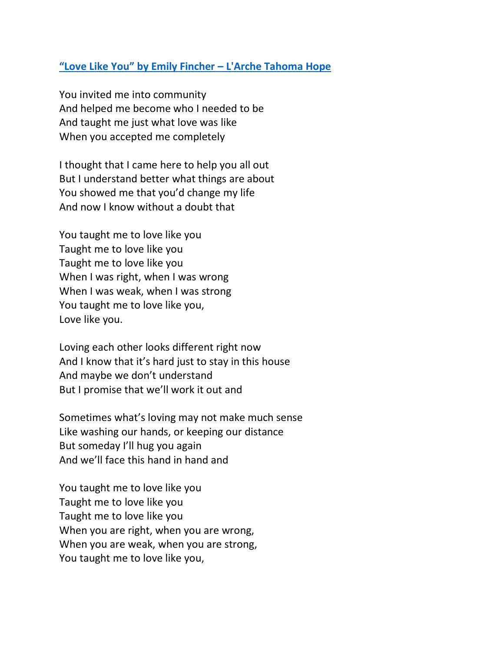## **"Love Like You" by Emily Fincher – [L'Arche Tahoma Hope](https://photos.app.goo.gl/5gjjZ1ZsA4z9eLYM8)**

You invited me into community And helped me become who I needed to be And taught me just what love was like When you accepted me completely

I thought that I came here to help you all out But I understand better what things are about You showed me that you'd change my life And now I know without a doubt that

You taught me to love like you Taught me to love like you Taught me to love like you When I was right, when I was wrong When I was weak, when I was strong You taught me to love like you, Love like you.

Loving each other looks different right now And I know that it's hard just to stay in this house And maybe we don't understand But I promise that we'll work it out and

Sometimes what's loving may not make much sense Like washing our hands, or keeping our distance But someday I'll hug you again And we'll face this hand in hand and

You taught me to love like you Taught me to love like you Taught me to love like you When you are right, when you are wrong, When you are weak, when you are strong, You taught me to love like you,